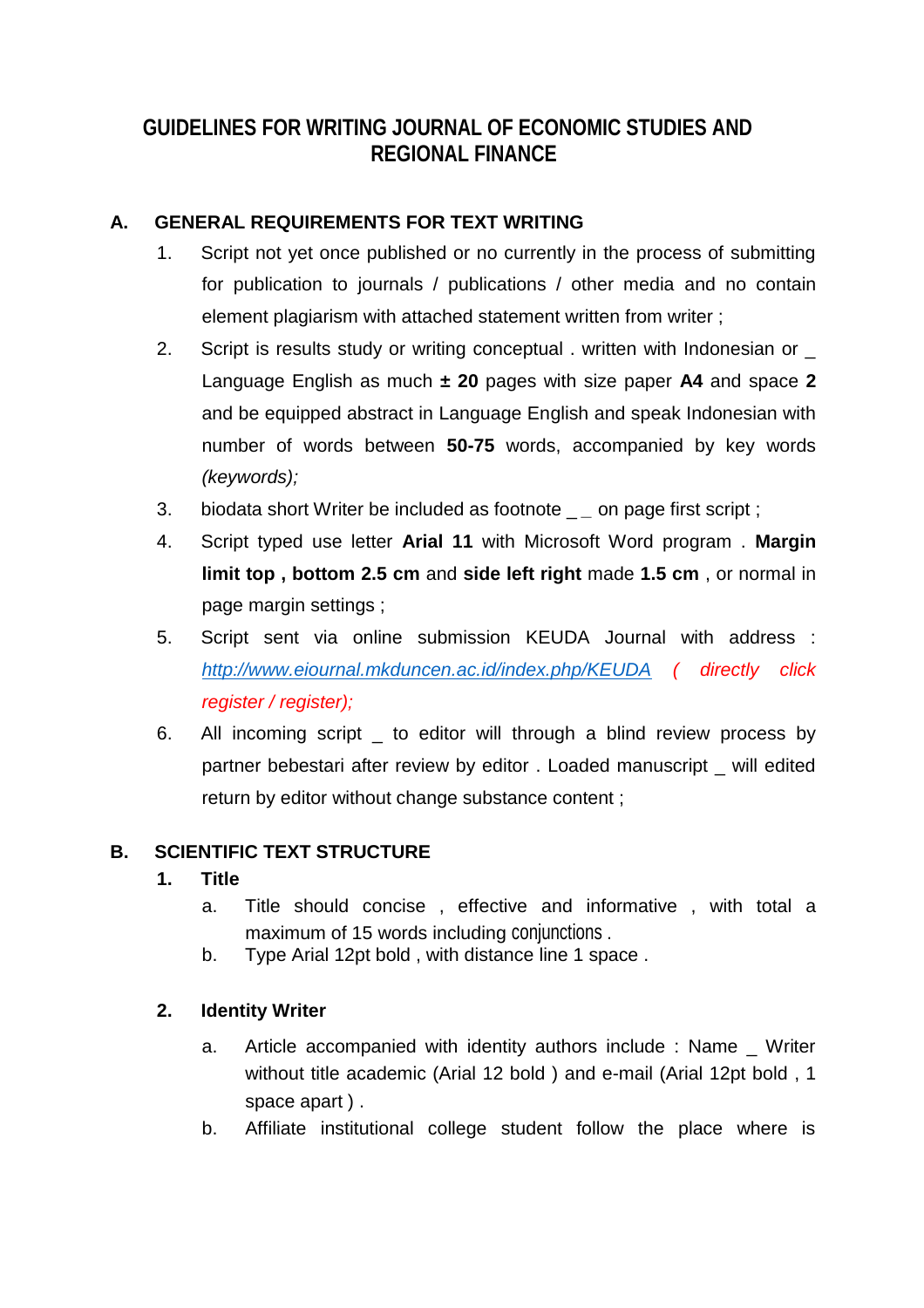# **GUIDELINES FOR WRITING JOURNAL OF ECONOMIC STUDIES AND REGIONAL FINANCE**

# **A. GENERAL REQUIREMENTS FOR TEXT WRITING**

- 1. Script not yet once published or no currently in the process of submitting for publication to journals / publications / other media and no contain element plagiarism with attached statement written from writer;
- 2. Script is results study or writing conceptual . written with Indonesian or \_ Language English as much **± 20** pages with size paper **A4** and space **2**  and be equipped abstract in Language English and speak Indonesian with number of words between **50-75** words, accompanied by key words *(keywords);*
- 3. biodata short Writer be included as footnote \_ *\_* on page first script ;
- 4. Script typed use letter **Arial 11** with Microsoft Word program . **Margin limit top , bottom 2.5 cm** and **side left right** made **1.5 cm** , or normal in page margin settings ;
- 5. Script sent via online submission KEUDA Journal with address : *http://www.eiournal.mkduncen.ac.id/index.php/KEUDA ( directly click register / register);*
- 6. All incoming script \_ to editor will through a blind review process by partner bebestari after review by editor . Loaded manuscript \_ will edited return by editor without change substance content ;

### **B. SCIENTIFIC TEXT STRUCTURE**

### **1. Title**

- a. Title should concise , effective and informative , with total a maximum of 15 words including conjunctions .
- b. Type Arial 12pt bold , with distance line 1 space .

#### **2. Identity Writer**

- a. Article accompanied with identity authors include: Name Writer without title academic (Arial 12 bold ) and e-mail (Arial 12pt bold , 1 space apart ) .
- b. Affiliate institutional college student follow the place where is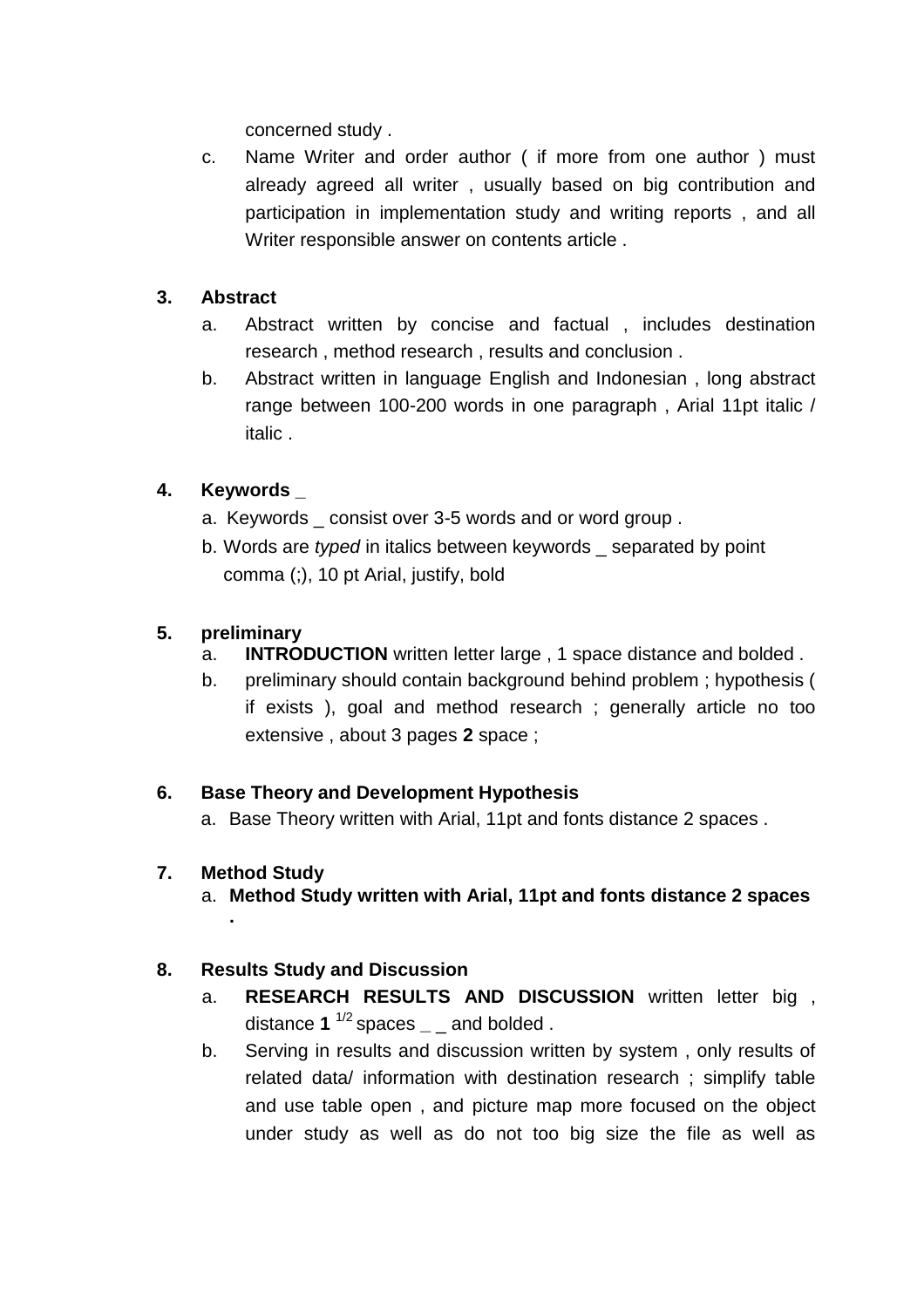concerned study .

c. Name Writer and order author ( if more from one author ) must already agreed all writer , usually based on big contribution and participation in implementation study and writing reports , and all Writer responsible answer on contents article .

# **3. Abstract**

- a. Abstract written by concise and factual , includes destination research , method research , results and conclusion .
- b. Abstract written in language English and Indonesian , long abstract range between 100-200 words in one paragraph , Arial 11pt italic / italic .

# **4. Keywords \_**

- a. Keywords \_ consist over 3-5 words and or word group .
- b. Words are *typed* in italics between keywords \_ separated by point comma (;), 10 pt Arial, justify, bold

# **5. preliminary**

- a. **INTRODUCTION** written letter large , 1 space distance and bolded .
- b. preliminary should contain background behind problem ; hypothesis ( if exists ), goal and method research ; generally article no too extensive , about 3 pages **2** space ;

### **6. Base Theory and Development Hypothesis**

a. Base Theory written with Arial, 11pt and fonts distance 2 spaces .

### **7. Method Study**

**.**

a. **Method Study written with Arial, 11pt and fonts distance 2 spaces** 

### **8. Results Study and Discussion**

- a. **RESEARCH RESULTS AND DISCUSSION** written letter big , distance **1** 1/2 spaces **\_** \_ and bolded .
- b. Serving in results and discussion written by system , only results of related data/ information with destination research ; simplify table and use table open , and picture map more focused on the object under study as well as do not too big size the file as well as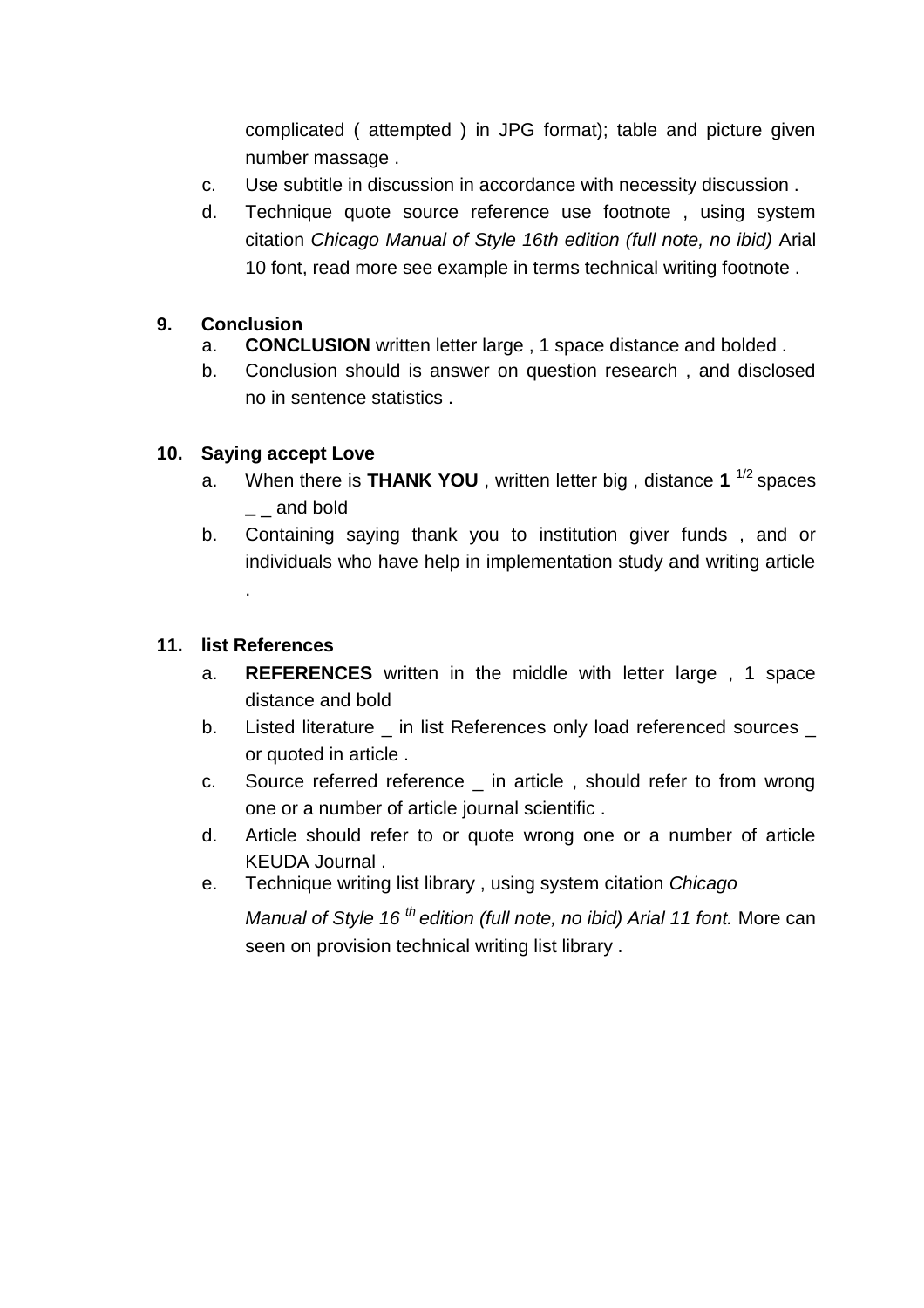complicated ( attempted ) in JPG format); table and picture given number massage .

- c. Use subtitle in discussion in accordance with necessity discussion .
- d. Technique quote source reference use footnote , using system citation *Chicago Manual of Style 16th edition (full note, no ibid)* Arial 10 font, read more see example in terms technical writing footnote .

# **9. Conclusion**

- a. **CONCLUSION** written letter large , 1 space distance and bolded .
- b. Conclusion should is answer on question research , and disclosed no in sentence statistics .

# **10. Saying accept Love**

- a. When there is **THANK YOU** , written letter big , distance **1** 1/2 spaces **\_** \_ and bold
- b. Containing saying thank you to institution giver funds , and or individuals who have help in implementation study and writing article

# **11. list References**

.

- a. **REFERENCES** written in the middle with letter large , 1 space distance and bold
- b. Listed literature \_ in list References only load referenced sources \_ or quoted in article .
- c. Source referred reference \_ in article , should refer to from wrong one or a number of article journal scientific .
- d. Article should refer to or quote wrong one or a number of article KEUDA Journal .
- e. Technique writing list library , using system citation *Chicago*

*Manual of Style 16 th edition (full note, no ibid) Arial 11 font.* More can seen on provision technical writing list library .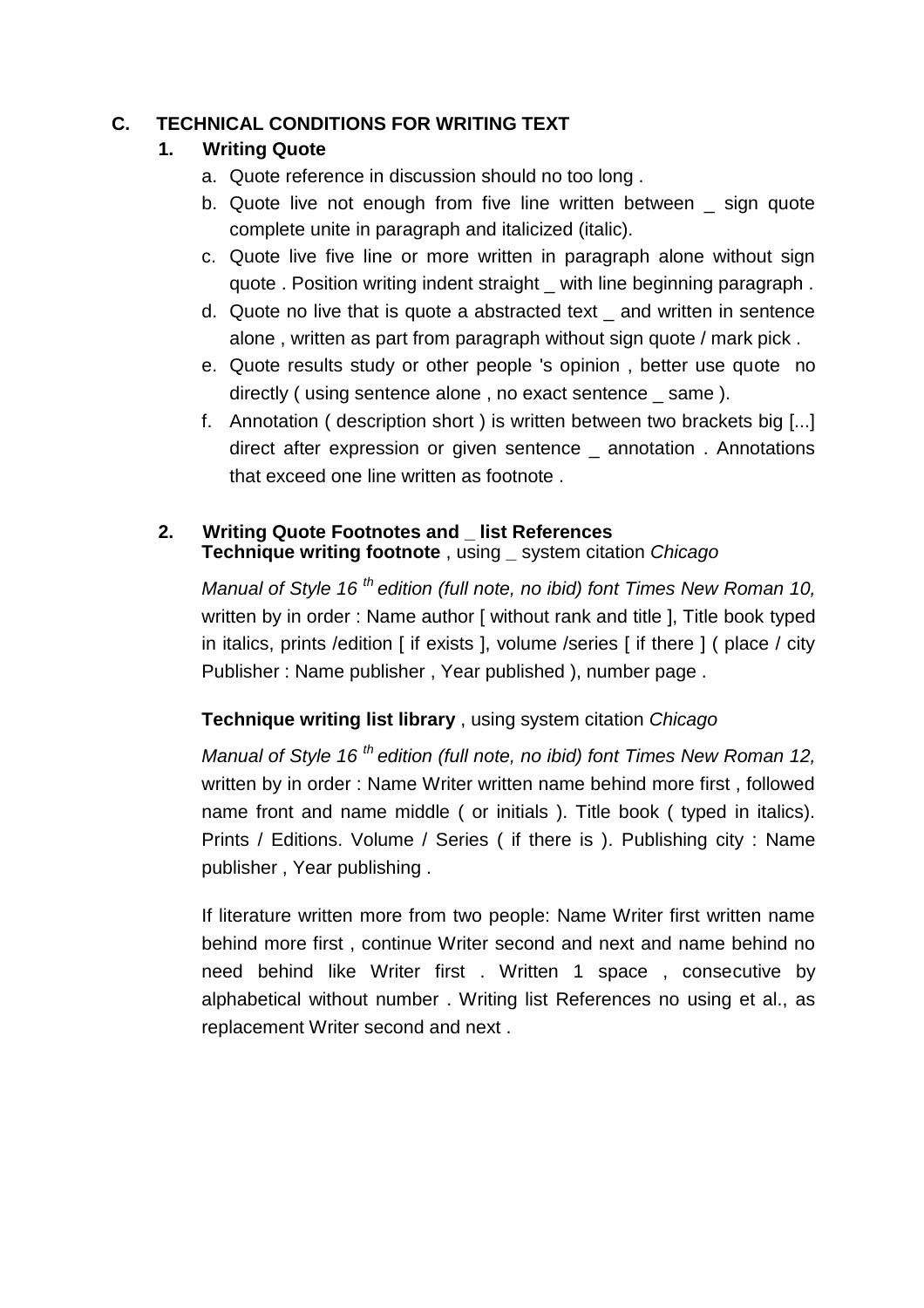### **C. TECHNICAL CONDITIONS FOR WRITING TEXT**

### **1. Writing Quote**

- a. Quote reference in discussion should no too long .
- b. Quote live not enough from five line written between sign quote complete unite in paragraph and italicized (italic).
- c. Quote live five line or more written in paragraph alone without sign quote . Position writing indent straight \_ with line beginning paragraph.
- d. Quote no live that is quote a abstracted text \_ and written in sentence alone , written as part from paragraph without sign quote / mark pick .
- e. Quote results study or other people 's opinion , better use quote no directly ( using sentence alone , no exact sentence \_ same ).
- f. Annotation ( description short ) is written between two brackets big [...] direct after expression or given sentence \_ annotation . Annotations that exceed one line written as footnote .

# **2. Writing Quote Footnotes and \_ list References Technique writing footnote** , using **\_** system citation *Chicago*

*Manual of Style 16 th edition (full note, no ibid) font Times New Roman 10,*  written by in order : Name author [ without rank and title ], Title book typed in italics, prints /edition [ if exists ], volume /series [ if there ] ( place / city Publisher : Name publisher , Year published ), number page .

# **Technique writing list library** , using system citation *Chicago*

*Manual of Style 16 th edition (full note, no ibid) font Times New Roman 12,*  written by in order : Name Writer written name behind more first , followed name front and name middle ( or initials ). Title book ( typed in italics). Prints / Editions. Volume / Series ( if there is ). Publishing city : Name publisher , Year publishing .

If literature written more from two people: Name Writer first written name behind more first , continue Writer second and next and name behind no need behind like Writer first . Written 1 space , consecutive by alphabetical without number . Writing list References no using et al., as replacement Writer second and next .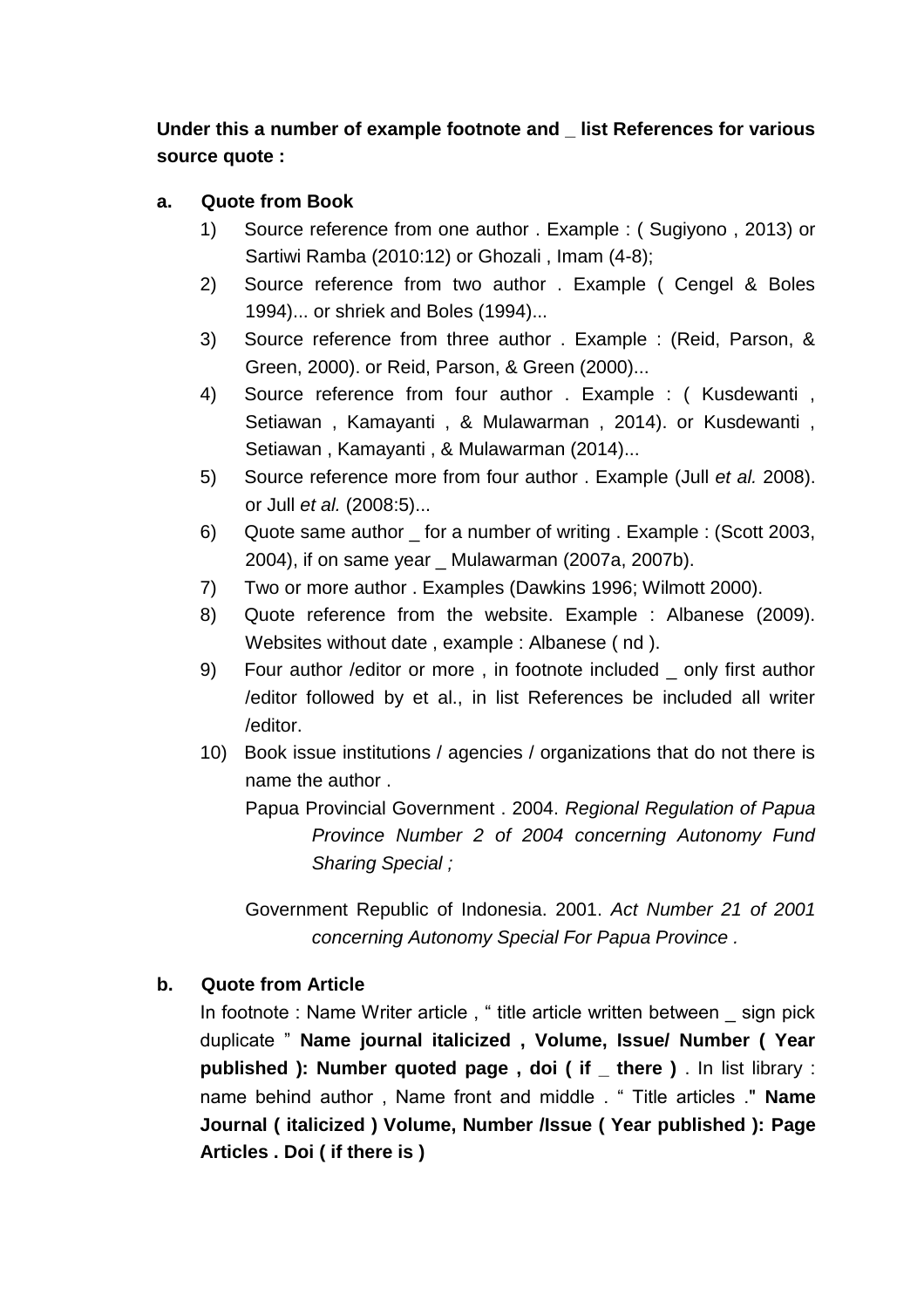**Under this a number of example footnote and \_ list References for various source quote :**

### **a. Quote from Book**

- 1) Source reference from one author . Example : ( Sugiyono , 2013) or Sartiwi Ramba (2010:12) or Ghozali , Imam (4-8);
- 2) Source reference from two author . Example ( Cengel & Boles 1994)... or shriek and Boles (1994)...
- 3) Source reference from three author . Example : (Reid, Parson, & Green, 2000). or Reid, Parson, & Green (2000)...
- 4) Source reference from four author . Example : ( Kusdewanti , Setiawan , Kamayanti , & Mulawarman , 2014). or Kusdewanti , Setiawan , Kamayanti , & Mulawarman (2014)...
- 5) Source reference more from four author . Example (Jull *et al.* 2008). or Jull *et al.* (2008:5)...
- 6) Quote same author \_ for a number of writing . Example : (Scott 2003, 2004), if on same year \_ Mulawarman (2007a, 2007b).
- 7) Two or more author . Examples (Dawkins 1996; Wilmott 2000).
- 8) Quote reference from the website. Example : Albanese (2009). Websites without date , example : Albanese ( nd ).
- 9) Four author /editor or more , in footnote included \_ only first author /editor followed by et al., in list References be included all writer /editor.
- 10) Book issue institutions / agencies / organizations that do not there is name the author .

Papua Provincial Government . 2004. *Regional Regulation of Papua Province Number 2 of 2004 concerning Autonomy Fund Sharing Special ;*

Government Republic of Indonesia. 2001. *Act Number 21 of 2001 concerning Autonomy Special For Papua Province .*

### **b. Quote from Article**

In footnote : Name Writer article , " title article written between \_ sign pick duplicate " **Name journal italicized , Volume, Issue/ Number ( Year published ): Number quoted page , doi ( if \_ there )** . In list library : name behind author , Name front and middle . " Title articles ." **Name Journal ( italicized ) Volume, Number /Issue ( Year published ): Page Articles . Doi ( if there is )**